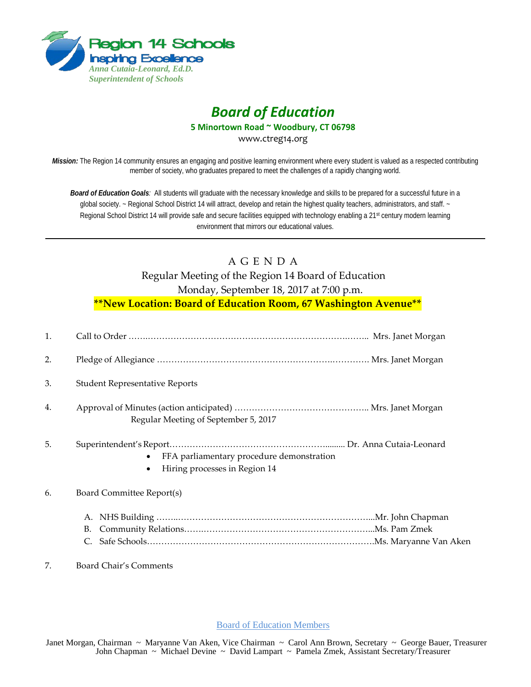

## *Board of Education*

**5 Minortown Road ~ Woodbury, CT 06798**

www.ctreg14.org

*Mission:* The Region 14 community ensures an engaging and positive learning environment where every student is valued as a respected contributing member of society, who graduates prepared to meet the challenges of a rapidly changing world.

*Board of Education Goals:* All students will graduate with the necessary knowledge and skills to be prepared for a successful future in a global society. ~ Regional School District 14 will attract, develop and retain the highest quality teachers, administrators, and staff. ~ Regional School District 14 will provide safe and secure facilities equipped with technology enabling a 21<sup>st</sup> century modern learning environment that mirrors our educational values.

## A G E N D A

Regular Meeting of the Region 14 Board of Education

Monday, September 18, 2017 at 7:00 p.m.

**\*\*New Location: Board of Education Room, 67 Washington Avenue\*\***

| 1. |                                                                                                      |
|----|------------------------------------------------------------------------------------------------------|
| 2. |                                                                                                      |
| 3. | <b>Student Representative Reports</b>                                                                |
| 4. | Regular Meeting of September 5, 2017                                                                 |
| 5. | FFA parliamentary procedure demonstration<br>$\bullet$<br>Hiring processes in Region 14<br>$\bullet$ |
| 6. | Board Committee Report(s)                                                                            |
|    | B.<br>C.                                                                                             |
|    | Board Chair's Comments                                                                               |

Board of Education Members